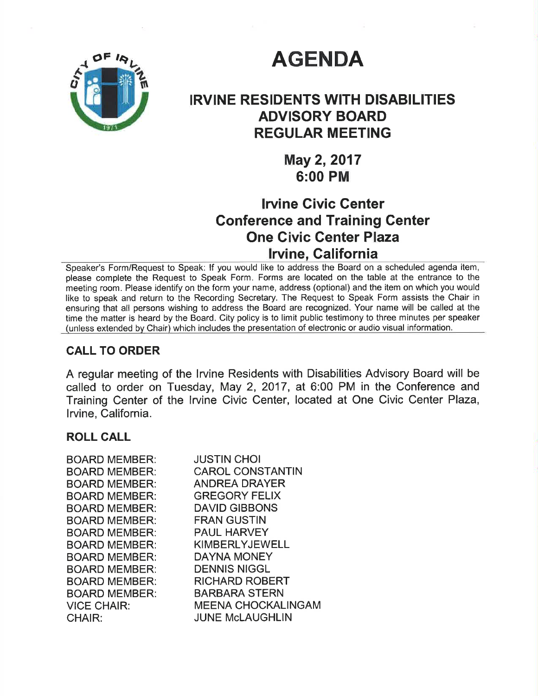

# **AGENDA**

# IRVINE RESIDENTS WITH DISABILITIES ADVISORY BOARD **REGULAR MEETING**

May 2, 2017 6:00 PM

## lrvine Givic Center Conference and Training Center One Civic Genter Plaza lrvine, Galifornia

Speaker's Form/Request to Speak: lf you would like to address the Board on a scheduled agenda item, please complete the Request to Speak Form. Forms are located on the table at the entrance to the meeting room. Please identify on the form your name, address (optional) and the item on whích you would like to speak and return to the Recording Secretary. The Request to Speak Form assists the Chair in ensuring that all persons wishing to address the Board are recognized. Your name will be called at the time the matter is heard by the Board. City policy is to limit public testimony to three minutes per speaker (unless extended bv Chair) which includes the presentation of electronic or audio visual information.

## CALL TO ORDER

A regular meeting of the lrvine Residents with Disabilities Advisory Board will be called to order on Tuesday, May 2, 2017, at 6:00 PM in the Conference and Training Center of the lrvine Civic Center, located at One Civic Center Plaza, lrvine, California.

#### ROLL CALL

| <b>BOARD MEMBER:</b> | <b>JUSTIN CHOI</b>        |
|----------------------|---------------------------|
| <b>BOARD MEMBER:</b> | <b>CAROL CONSTANTIN</b>   |
| <b>BOARD MEMBER:</b> | <b>ANDREA DRAYER</b>      |
| <b>BOARD MEMBER:</b> | <b>GREGORY FELIX</b>      |
| <b>BOARD MEMBER:</b> | <b>DAVID GIBBONS</b>      |
| <b>BOARD MEMBER:</b> | <b>FRAN GUSTIN</b>        |
| <b>BOARD MEMBER:</b> | <b>PAUL HARVEY</b>        |
| <b>BOARD MEMBER:</b> | <b>KIMBERLYJEWELL</b>     |
| <b>BOARD MEMBER:</b> | <b>DAYNA MONEY</b>        |
| <b>BOARD MEMBER:</b> | <b>DENNIS NIGGL</b>       |
| <b>BOARD MEMBER:</b> | <b>RICHARD ROBERT</b>     |
| <b>BOARD MEMBER:</b> | <b>BARBARA STERN</b>      |
| <b>VICE CHAIR:</b>   | <b>MEENA CHOCKALINGAM</b> |
| CHAIR:               | <b>JUNE McLAUGHLIN</b>    |
|                      |                           |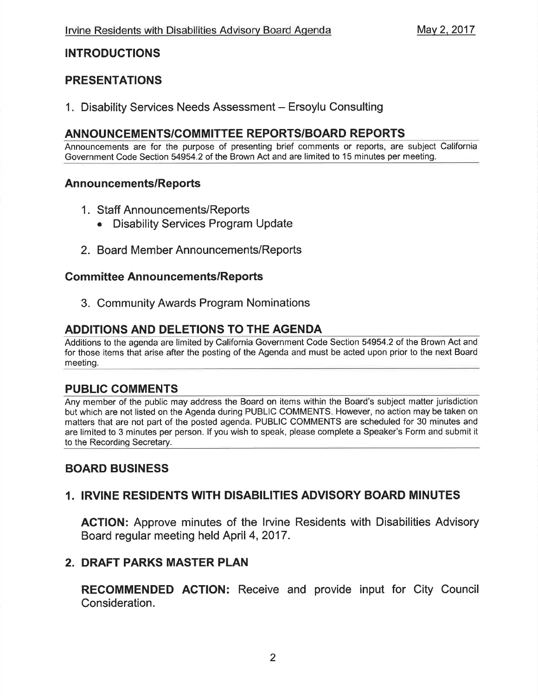### INTRODUCTIONS

## PRESENTATIONS

1. Disability Services Needs Assessment - Ersoylu Consulting

### ANNOUNCEMENTS/COMMITTEE REPORTS/BOARD REPORTS

Announcements are for the purpose of presenting brief comments or reports, are subject California Government Code Section 54954.2 of the Brown Act and are limited to 15 minutes per meeting.

#### Announcements/Reports

- <sup>1</sup>. Staff Announcements/Reports
	- Disability Services Program Update
- 2. Board Member Announcements/Reports

#### **Committee Announcements/Reports**

3. Community Awards Program Nominations

## ADDITIONS AND DELETIONS TO THE AGENDA

Additions to the agenda are limited by California Government Code Section 54954.2 of the Brown Act and for those items that arise after the posting of the Agenda and must be acted upon prior to the next Board meeting.

#### PUBLIC COMMENTS

Any member of the public may address the Board on items within the Board's subject matter jurisdiction but which are not listed on the Agenda during PUBLIC COMMENTS. However, no action may be taken on matters that are not part of the posted agenda. PUBLIC COMMENTS are scheduled for 30 minutes and are limited to 3 minutes per person. lf you wish to speak, please complete a Speaker's Form and submit it to the Recording Secretary.

## BOARD BUSINESS

## 1. IRVINE RESIDENTS WITH DISABILITIES ADVISORY BOARD MINUTES

ACTION: Approve minutes of the lrvine Residents with Disabilities Advisory Board regular meeting held April 4,2017.

## 2. DRAFT PARKS MASTER PLAN

RECOMMENDED AGTION: Receive and provide input for City Council Consideration.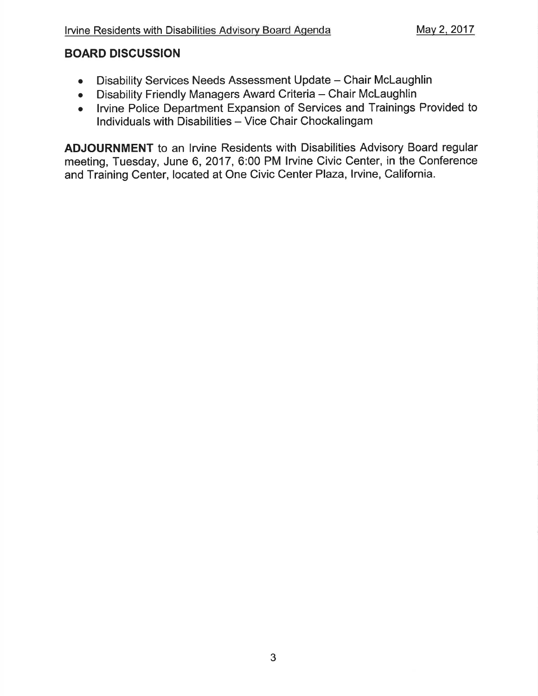## BOARD DISCUSSION

- Disability Services Needs Assessment Update Chair McLaughlin
- Disability Friendly Managers Award Criteria Chair McLaughlin<br>• Irvine Police Department Expansion of Services and Trainings
- . lrvine Police Department Expansion of Services and Trainings Provided to Individuals with Disabilities - Vice Chair Chockalingam

ADJOURNMENT to an lrvine Residents with Disabilities Advisory Board regular meeting, Tuesday, June 6,2017, 6:00 PM lrvine Civic Center, in the Conference and Training Center, located at One Civic Center Plaza, Irvine, California.